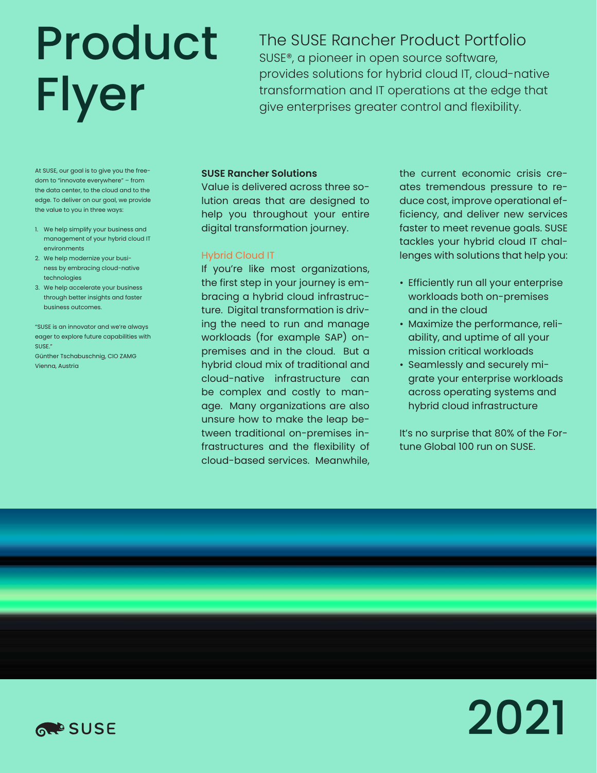# Product Flyer

The SUSE Rancher Product Portfolio SUSE®, a pioneer in open source software, provides solutions for hybrid cloud IT, cloud-native transformation and IT operations at the edge that give enterprises greater control and flexibility.

At SUSE, our goal is to give you the freedom to "innovate everywhere" – from the data center, to the cloud and to the edge. To deliver on our goal, we provide the value to you in three ways:

- 1. We help simplify your business and management of your hybrid cloud IT environments
- 2. We help modernize your business by embracing cloud-native technologies
- 3. We help accelerate your business through better insights and faster business outcomes.

"SUSE is an innovator and we're always eager to explore future capabilities with SUSE." Günther Tschabuschnig, CIO ZAMG

Vienna, Austria

## **SUSE Rancher Solutions**

Value is delivered across three solution areas that are designed to help you throughout your entire digital transformation journey.

## Hybrid Cloud IT

If you're like most organizations, the first step in your journey is embracing a hybrid cloud infrastructure. Digital transformation is driving the need to run and manage workloads (for example SAP) onpremises and in the cloud. But a hybrid cloud mix of traditional and cloud-native infrastructure can be complex and costly to manage. Many organizations are also unsure how to make the leap between traditional on-premises infrastructures and the flexibility of cloud-based services. Meanwhile,

the current economic crisis creates tremendous pressure to reduce cost, improve operational efficiency, and deliver new services faster to meet revenue goals. SUSE tackles your hybrid cloud IT challenges with solutions that help you:

- Efficiently run all your enterprise workloads both on-premises and in the cloud
- Maximize the performance, reliability, and uptime of all your mission critical workloads
- Seamlessly and securely migrate your enterprise workloads across operating systems and hybrid cloud infrastructure

It's no surprise that 80% of the Fortune Global 100 run on SUSE.



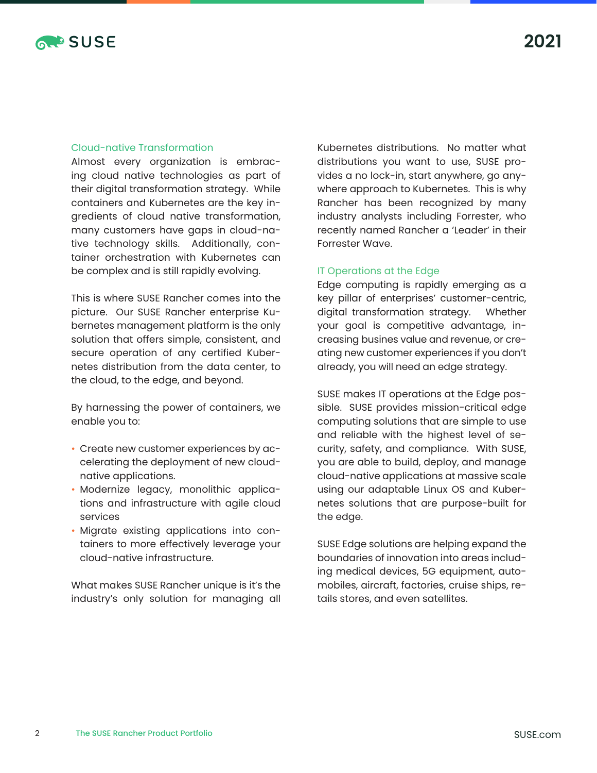

## Cloud-native Transformation

Almost every organization is embracing cloud native technologies as part of their digital transformation strategy. While containers and Kubernetes are the key ingredients of cloud native transformation, many customers have gaps in cloud-native technology skills. Additionally, container orchestration with Kubernetes can be complex and is still rapidly evolving.

This is where SUSE Rancher comes into the picture. Our SUSE Rancher enterprise Kubernetes management platform is the only solution that offers simple, consistent, and secure operation of any certified Kubernetes distribution from the data center, to the cloud, to the edge, and beyond.

By harnessing the power of containers, we enable you to:

- Create new customer experiences by accelerating the deployment of new cloudnative applications.
- Modernize legacy, monolithic applications and infrastructure with agile cloud services
- Migrate existing applications into containers to more effectively leverage your cloud-native infrastructure.

What makes SUSE Rancher unique is it's the industry's only solution for managing all

Kubernetes distributions. No matter what distributions you want to use, SUSE provides a no lock-in, start anywhere, go anywhere approach to Kubernetes. This is why Rancher has been recognized by many industry analysts including Forrester, who recently named Rancher a 'Leader' in their Forrester Wave.

## IT Operations at the Edge

Edge computing is rapidly emerging as a key pillar of enterprises' customer-centric, digital transformation strategy. Whether your goal is competitive advantage, increasing busines value and revenue, or creating new customer experiences if you don't already, you will need an edge strategy.

SUSE makes IT operations at the Edge possible. SUSE provides mission-critical edge computing solutions that are simple to use and reliable with the highest level of security, safety, and compliance. With SUSE, you are able to build, deploy, and manage cloud-native applications at massive scale using our adaptable Linux OS and Kubernetes solutions that are purpose-built for the edge.

SUSE Edge solutions are helping expand the boundaries of innovation into areas including medical devices, 5G equipment, automobiles, aircraft, factories, cruise ships, retails stores, and even satellites.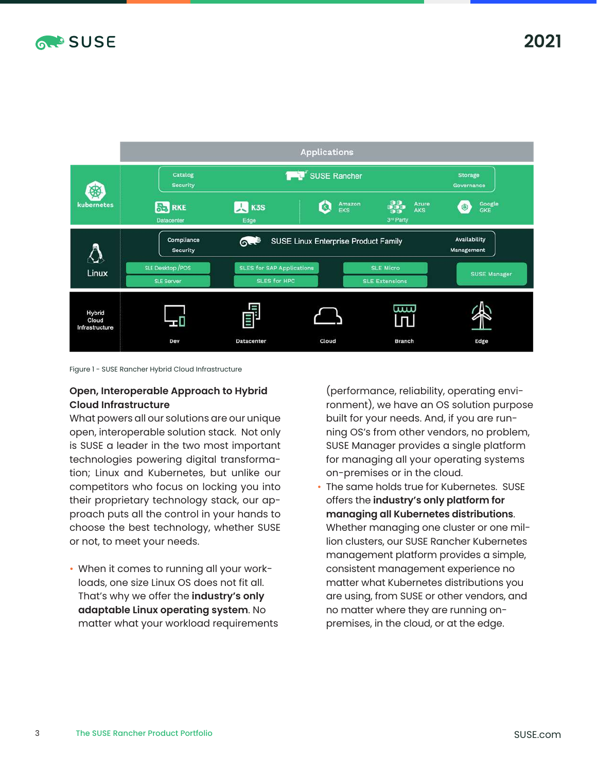



Figure 1 - SUSE Rancher Hybrid Cloud Infrastructure

## **Open, Interoperable Approach to Hybrid Cloud Infrastructure**

What powers all our solutions are our unique open, interoperable solution stack. Not only is SUSE a leader in the two most important technologies powering digital transformation; Linux and Kubernetes, but unlike our competitors who focus on locking you into their proprietary technology stack, our approach puts all the control in your hands to choose the best technology, whether SUSE or not, to meet your needs.

• When it comes to running all your workloads, one size Linux OS does not fit all. That's why we offer the **industry's only adaptable Linux operating system**. No matter what your workload requirements (performance, reliability, operating environment), we have an OS solution purpose built for your needs. And, if you are running OS's from other vendors, no problem, SUSE Manager provides a single platform for managing all your operating systems on-premises or in the cloud.

The same holds true for Kubernetes. SUSE offers the **industry's only platform for managing all Kubernetes distributions**. Whether managing one cluster or one million clusters, our SUSE Rancher Kubernetes management platform provides a simple, consistent management experience no matter what Kubernetes distributions you are using, from SUSE or other vendors, and no matter where they are running onpremises, in the cloud, or at the edge.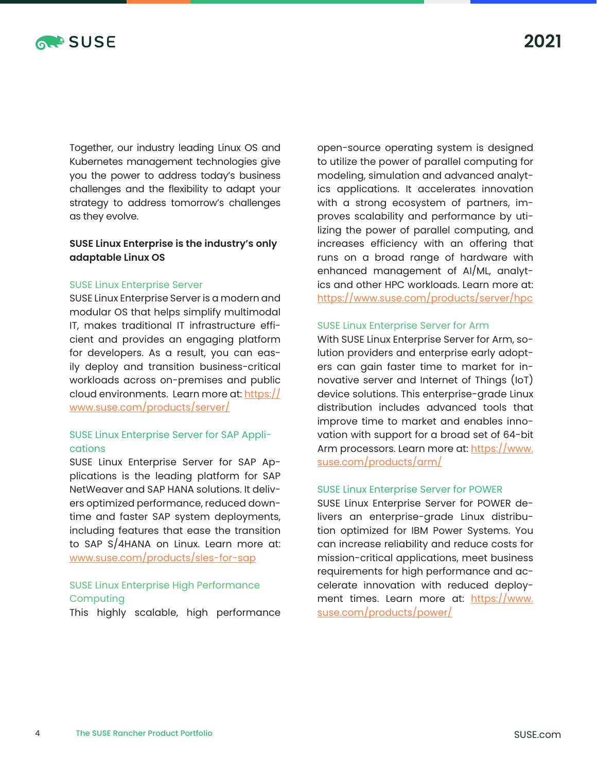

Together, our industry leading Linux OS and Kubernetes management technologies give you the power to address today's business challenges and the flexibility to adapt your strategy to address tomorrow's challenges as they evolve.

## **SUSE Linux Enterprise is the industry's only adaptable Linux OS**

### SUSE Linux Enterprise Server

SUSE Linux Enterprise Server is a modern and modular OS that helps simplify multimodal IT, makes traditional IT infrastructure efficient and provides an engaging platform for developers. As a result, you can easily deploy and transition business-critical workloads across on-premises and public cloud environments. Learn more at: [https://](https://www.suse.com/products/server/) [www.suse.com/products/server/](https://www.suse.com/products/server/)

## SUSE Linux Enterprise Server for SAP Applications

SUSE Linux Enterprise Server for SAP Applications is the leading platform for SAP NetWeaver and SAP HANA solutions. It delivers optimized performance, reduced downtime and faster SAP system deployments, including features that ease the transition to SAP S/4HANA on Linux. Learn more at: [www.suse.com/products/sles-for-sap](http://www.suse.com/products/sles-for-sap) 

## SUSE Linux Enterprise High Performance **Computing**

This highly scalable, high performance

open-source operating system is designed to utilize the power of parallel computing for modeling, simulation and advanced analytics applications. It accelerates innovation with a strong ecosystem of partners, improves scalability and performance by utilizing the power of parallel computing, and increases efficiency with an offering that runs on a broad range of hardware with enhanced management of AI/ML, analytics and other HPC workloads. Learn more at: <https://www.suse.com/products/server/hpc>

#### SUSE Linux Enterprise Server for Arm

With SUSE Linux Enterprise Server for Arm, solution providers and enterprise early adopters can gain faster time to market for innovative server and Internet of Things (IoT) device solutions. This enterprise-grade Linux distribution includes advanced tools that improve time to market and enables innovation with support for a broad set of 64-bit Arm processors. Learn more at: [https://www.](https://www.suse.com/products/arm/) [suse.com/products/arm/](https://www.suse.com/products/arm/)

#### SUSE Linux Enterprise Server for POWER

SUSE Linux Enterprise Server for POWER delivers an enterprise-grade Linux distribution optimized for IBM Power Systems. You can increase reliability and reduce costs for mission-critical applications, meet business requirements for high performance and accelerate innovation with reduced deployment times. Learn more at: [https://www.](https://www.suse.com/products/power/ ) [suse.com/products/power/](https://www.suse.com/products/power/ )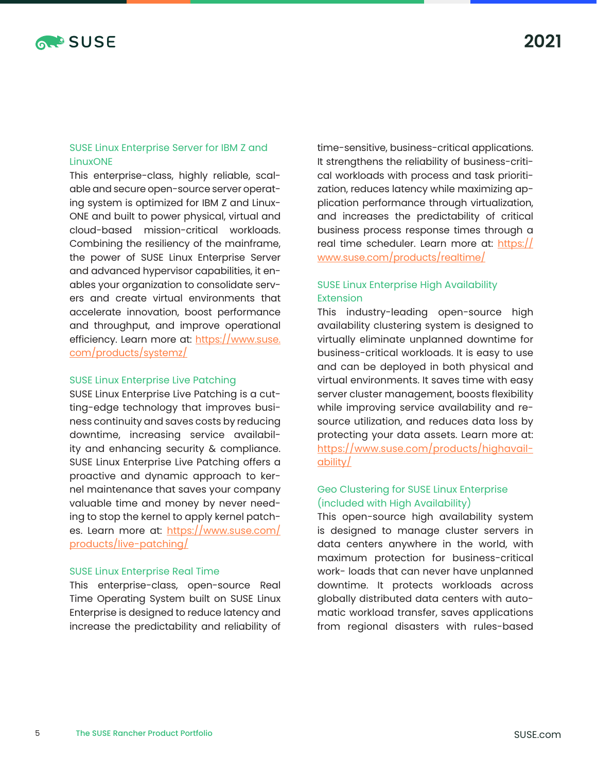

## SUSE Linux Enterprise Server for IBM Z and LinuxONE

This enterprise-class, highly reliable, scalable and secure open-source server operating system is optimized for IBM Z and Linux-ONE and built to power physical, virtual and cloud-based mission-critical workloads. Combining the resiliency of the mainframe, the power of SUSE Linux Enterprise Server and advanced hypervisor capabilities, it enables your organization to consolidate servers and create virtual environments that accelerate innovation, boost performance and throughput, and improve operational efficiency. Learn more at: [https://www.suse.](https://www.suse.com/products/systemz/) [com/products/systemz/](https://www.suse.com/products/systemz/)

#### SUSE Linux Enterprise Live Patching

SUSE Linux Enterprise Live Patching is a cutting-edge technology that improves business continuity and saves costs by reducing downtime, increasing service availability and enhancing security & compliance. SUSE Linux Enterprise Live Patching offers a proactive and dynamic approach to kernel maintenance that saves your company valuable time and money by never needing to stop the kernel to apply kernel patches. Learn more at: [https://www.suse.com/](https://www.suse.com/products/live-patching/) [products/live-patching/](https://www.suse.com/products/live-patching/)

#### SUSE Linux Enterprise Real Time

This enterprise-class, open-source Real Time Operating System built on SUSE Linux Enterprise is designed to reduce latency and increase the predictability and reliability of

time-sensitive, business-critical applications. It strengthens the reliability of business-critical workloads with process and task prioritization, reduces latency while maximizing application performance through virtualization, and increases the predictability of critical business process response times through a real time scheduler. Learn more at: [https://](https://www.suse.com/products/realtime/) [www.suse.com/products/realtime/](https://www.suse.com/products/realtime/)

## SUSE Linux Enterprise High Availability Extension

This industry-leading open-source high availability clustering system is designed to virtually eliminate unplanned downtime for business-critical workloads. It is easy to use and can be deployed in both physical and virtual environments. It saves time with easy server cluster management, boosts flexibility while improving service availability and resource utilization, and reduces data loss by protecting your data assets. Learn more at: [https://www.suse.com/products/highavail](https://www.suse.com/products/highavailability/)[ability/](https://www.suse.com/products/highavailability/)

## Geo Clustering for SUSE Linux Enterprise (included with High Availability)

This open-source high availability system is designed to manage cluster servers in data centers anywhere in the world, with maximum protection for business-critical work- loads that can never have unplanned downtime. It protects workloads across globally distributed data centers with automatic workload transfer, saves applications from regional disasters with rules-based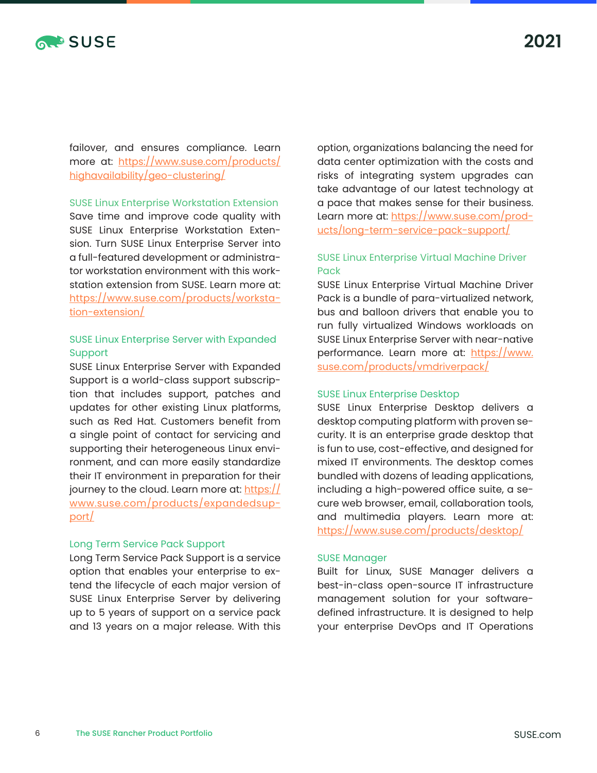

**2021**

failover, and ensures compliance. Learn more at: [https://www.suse.com/products/](https://www.suse.com/products/highavailability/geo-clustering/) [highavailability/geo-clustering/](https://www.suse.com/products/highavailability/geo-clustering/)

SUSE Linux Enterprise Workstation Extension

Save time and improve code quality with SUSE Linux Enterprise Workstation Extension. Turn SUSE Linux Enterprise Server into a full-featured development or administrator workstation environment with this workstation extension from SUSE. Learn more at: [https://www.suse.com/products/worksta](https://www.suse.com/products/workstation-extension/)[tion-extension/](https://www.suse.com/products/workstation-extension/)

## SUSE Linux Enterprise Server with Expanded Support

SUSE Linux Enterprise Server with Expanded Support is a world-class support subscription that includes support, patches and updates for other existing Linux platforms, such as Red Hat. Customers benefit from a single point of contact for servicing and supporting their heterogeneous Linux environment, and can more easily standardize their IT environment in preparation for their journey to the cloud. Learn more at: [https://](https://www.suse.com/products/expandedsupport/) [www.suse.com/products/expandedsup](https://www.suse.com/products/expandedsupport/)[port/](https://www.suse.com/products/expandedsupport/)

#### Long Term Service Pack Support

Long Term Service Pack Support is a service option that enables your enterprise to extend the lifecycle of each major version of SUSE Linux Enterprise Server by delivering up to 5 years of support on a service pack and 13 years on a major release. With this option, organizations balancing the need for data center optimization with the costs and risks of integrating system upgrades can take advantage of our latest technology at a pace that makes sense for their business. Learn more at: [https://www.suse.com/prod](https://www.suse.com/products/long-term-service-pack-support/)[ucts/long-term-service-pack-support/](https://www.suse.com/products/long-term-service-pack-support/)

## SUSE Linux Enterprise Virtual Machine Driver Pack

SUSE Linux Enterprise Virtual Machine Driver Pack is a bundle of para-virtualized network, bus and balloon drivers that enable you to run fully virtualized Windows workloads on SUSE Linux Enterprise Server with near-native performance. Learn more at: [https://www.](https://www.suse.com/products/vmdriverpack/) [suse.com/products/vmdriverpack/](https://www.suse.com/products/vmdriverpack/)

### SUSE Linux Enterprise Desktop

SUSE Linux Enterprise Desktop delivers a desktop computing platform with proven security. It is an enterprise grade desktop that is fun to use, cost-effective, and designed for mixed IT environments. The desktop comes bundled with dozens of leading applications, including a high-powered office suite, a secure web browser, email, collaboration tools, and multimedia players. Learn more at: <https://www.suse.com/products/desktop/>

## SUSE Manager

Built for Linux, SUSE Manager delivers a best-in-class open-source IT infrastructure management solution for your softwaredefined infrastructure. It is designed to help your enterprise DevOps and IT Operations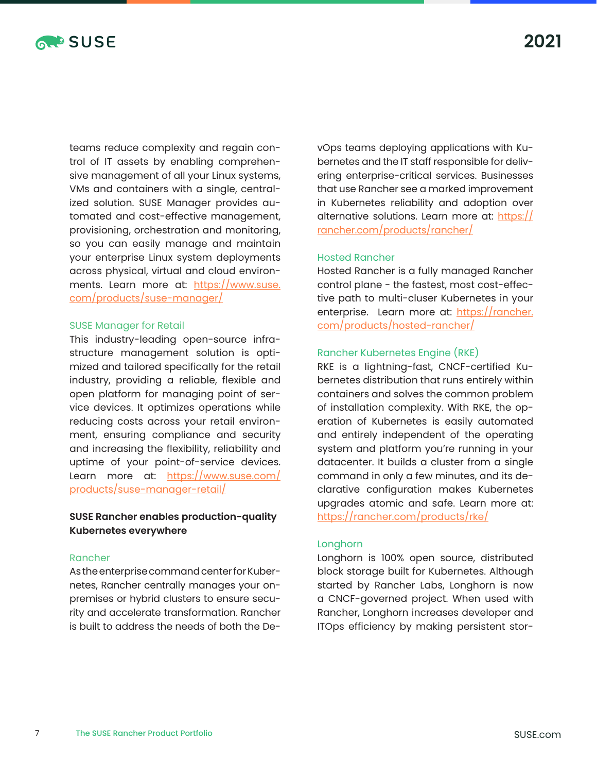

teams reduce complexity and regain control of IT assets by enabling comprehensive management of all your Linux systems, VMs and containers with a single, centralized solution. SUSE Manager provides automated and cost-effective management, provisioning, orchestration and monitoring, so you can easily manage and maintain your enterprise Linux system deployments across physical, virtual and cloud environments. Learn more at: [https://www.suse.](https://www.suse.com/products/suse-manager/) [com/products/suse-manager/](https://www.suse.com/products/suse-manager/)

#### SUSE Manager for Retail

This industry-leading open-source infrastructure management solution is optimized and tailored specifically for the retail industry, providing a reliable, flexible and open platform for managing point of service devices. It optimizes operations while reducing costs across your retail environment, ensuring compliance and security and increasing the flexibility, reliability and uptime of your point-of-service devices. Learn more at: [https://www.suse.com/](https://www.suse.com/products/suse-manager-retail/) [products/suse-manager-retail/](https://www.suse.com/products/suse-manager-retail/)

## **SUSE Rancher enables production-quality Kubernetes everywhere**

#### Rancher

As the enterprise command center for Kubernetes, Rancher centrally manages your onpremises or hybrid clusters to ensure security and accelerate transformation. Rancher is built to address the needs of both the DevOps teams deploying applications with Kubernetes and the IT staff responsible for delivering enterprise-critical services. Businesses that use Rancher see a marked improvement in Kubernetes reliability and adoption over alternative solutions. Learn more at: [https://](https://rancher.com/products/rancher/) [rancher.com/products/rancher/](https://rancher.com/products/rancher/)

## Hosted Rancher

Hosted Rancher is a fully managed Rancher control plane - the fastest, most cost-effective path to multi-cluser Kubernetes in your enterprise. Learn more at: [https://rancher.](https://rancher.com/products/hosted-rancher/) [com/products/hosted-rancher/](https://rancher.com/products/hosted-rancher/)

## Rancher Kubernetes Engine (RKE)

RKE is a lightning-fast, CNCF-certified Kubernetes distribution that runs entirely within containers and solves the common problem of installation complexity. With RKE, the operation of Kubernetes is easily automated and entirely independent of the operating system and platform you're running in your datacenter. It builds a cluster from a single command in only a few minutes, and its declarative configuration makes Kubernetes upgrades atomic and safe. Learn more at: <https://rancher.com/products/rke/>

#### Longhorn

Longhorn is 100% open source, distributed block storage built for Kubernetes. Although started by Rancher Labs, Longhorn is now a CNCF-governed project. When used with Rancher, Longhorn increases developer and ITOps efficiency by making persistent stor-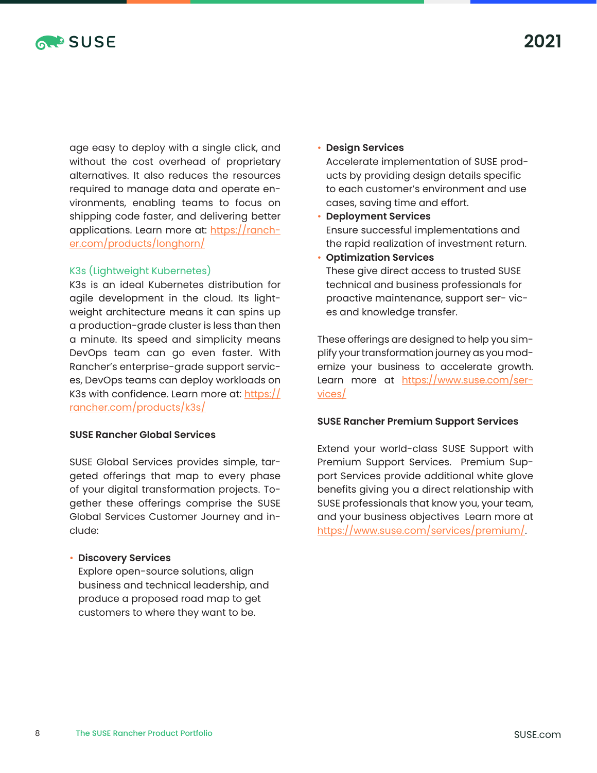

age easy to deploy with a single click, and without the cost overhead of proprietary alternatives. It also reduces the resources required to manage data and operate environments, enabling teams to focus on shipping code faster, and delivering better applications. Learn more at: [https://ranch](https://rancher.com/products/longhorn/)[er.com/products/longhorn/](https://rancher.com/products/longhorn/)

## K3s (Lightweight Kubernetes)

K3s is an ideal Kubernetes distribution for agile development in the cloud. Its lightweight architecture means it can spins up a production-grade cluster is less than then a minute. Its speed and simplicity means DevOps team can go even faster. With Rancher's enterprise-grade support services, DevOps teams can deploy workloads on K3s with confidence. Learn more at: [https://](https://rancher.com/products/k3s/) [rancher.com/products/k3s/](https://rancher.com/products/k3s/)

## **SUSE Rancher Global Services**

SUSE Global Services provides simple, targeted offerings that map to every phase of your digital transformation projects. Together these offerings comprise the SUSE Global Services Customer Journey and include:

## • **Discovery Services**

Explore open-source solutions, align business and technical leadership, and produce a proposed road map to get customers to where they want to be.

#### • **Design Services**

Accelerate implementation of SUSE products by providing design details specific to each customer's environment and use cases, saving time and effort.

• **Deployment Services** Ensure successful implementations and the rapid realization of investment return.

## • **Optimization Services** These give direct access to trusted SUSE technical and business professionals for proactive maintenance, support ser- vices and knowledge transfer.

These offerings are designed to help you simplify your transformation journey as you modernize your business to accelerate growth. Learn more at [https://www.suse.com/ser](https://www.suse.com/services/)[vices/](https://www.suse.com/services/)

## **SUSE Rancher Premium Support Services**

Extend your world-class SUSE Support with Premium Support Services. Premium Support Services provide additional white glove benefits giving you a direct relationship with SUSE professionals that know you, your team, and your business objectives Learn more at [https://www.suse.com/services/premium/.](https://www.suse.com/services/premium/)